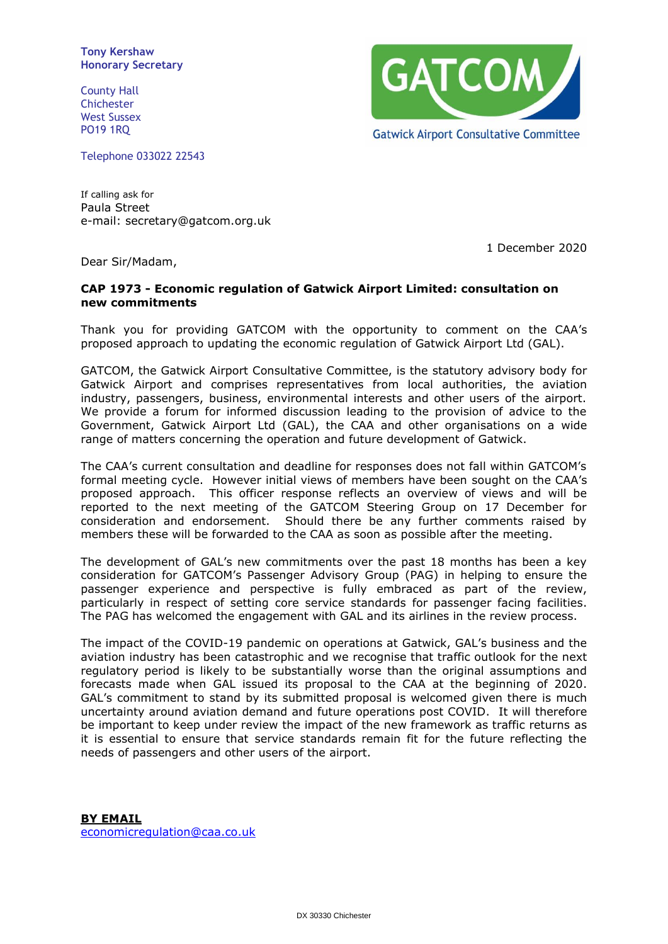**Tony Kershaw Honorary Secretary**

County Hall Chichester West Sussex PO19 1RQ

Telephone 033022 22543

**GATCOM/ Gatwick Airport Consultative Committee** 

If calling ask for Paula Street e-mail: secretary@gatcom.org.uk

1 December 2020

Dear Sir/Madam,

## **CAP 1973 - Economic regulation of Gatwick Airport Limited: consultation on new commitments**

Thank you for providing GATCOM with the opportunity to comment on the CAA's proposed approach to updating the economic regulation of Gatwick Airport Ltd (GAL).

GATCOM, the Gatwick Airport Consultative Committee, is the statutory advisory body for Gatwick Airport and comprises representatives from local authorities, the aviation industry, passengers, business, environmental interests and other users of the airport. We provide a forum for informed discussion leading to the provision of advice to the Government, Gatwick Airport Ltd (GAL), the CAA and other organisations on a wide range of matters concerning the operation and future development of Gatwick.

The CAA's current consultation and deadline for responses does not fall within GATCOM's formal meeting cycle. However initial views of members have been sought on the CAA's proposed approach. This officer response reflects an overview of views and will be reported to the next meeting of the GATCOM Steering Group on 17 December for consideration and endorsement. Should there be any further comments raised by members these will be forwarded to the CAA as soon as possible after the meeting.

The development of GAL's new commitments over the past 18 months has been a key consideration for GATCOM's Passenger Advisory Group (PAG) in helping to ensure the passenger experience and perspective is fully embraced as part of the review, particularly in respect of setting core service standards for passenger facing facilities. The PAG has welcomed the engagement with GAL and its airlines in the review process.

The impact of the COVID-19 pandemic on operations at Gatwick, GAL's business and the aviation industry has been catastrophic and we recognise that traffic outlook for the next regulatory period is likely to be substantially worse than the original assumptions and forecasts made when GAL issued its proposal to the CAA at the beginning of 2020. GAL's commitment to stand by its submitted proposal is welcomed given there is much uncertainty around aviation demand and future operations post COVID. It will therefore be important to keep under review the impact of the new framework as traffic returns as it is essential to ensure that service standards remain fit for the future reflecting the needs of passengers and other users of the airport.